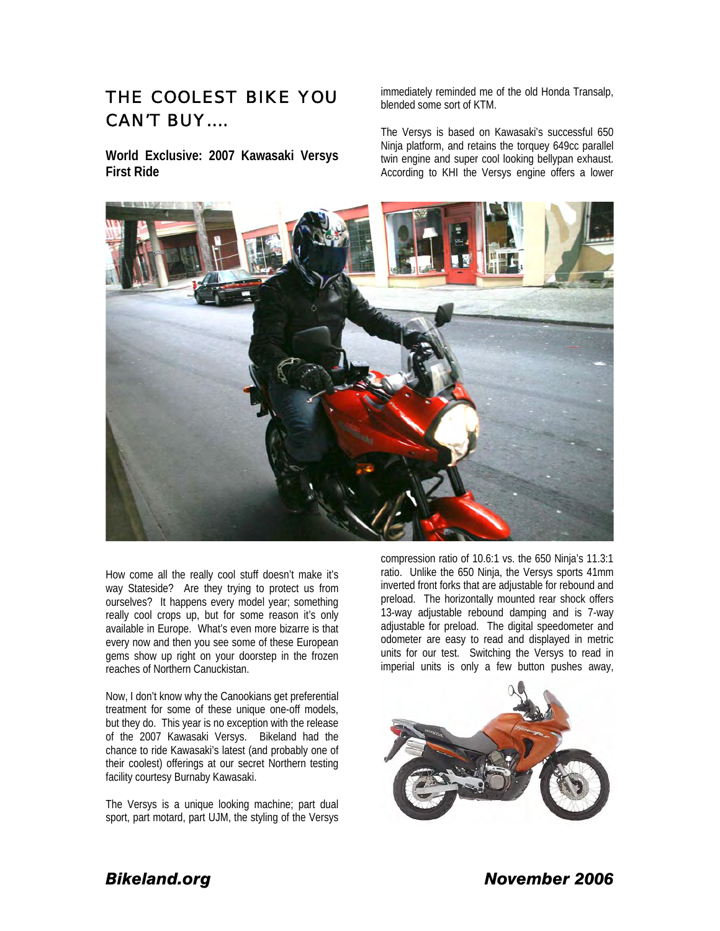## *THE COOLEST BIKE YOU CAN'T BUY….*

**World Exclusive: 2007 Kawasaki Versys First Ride** 

immediately reminded me of the old Honda Transalp, blended some sort of KTM.

The Versys is based on Kawasaki's successful 650 Ninja platform, and retains the torquey 649cc parallel twin engine and super cool looking bellypan exhaust. According to KHI the Versys engine offers a lower



How come all the really cool stuff doesn't make it's way Stateside? Are they trying to protect us from ourselves? It happens every model year; something really cool crops up, but for some reason it's only available in Europe. What's even more bizarre is that every now and then you see some of these European gems show up right on your doorstep in the frozen reaches of Northern Canuckistan.

Now, I don't know why the Canookians get preferential treatment for some of these unique one-off models, but they do. This year is no exception with the release of the 2007 Kawasaki Versys. Bikeland had the chance to ride Kawasaki's latest (and probably one of their coolest) offerings at our secret Northern testing facility courtesy Burnaby Kawasaki.

The Versys is a unique looking machine; part dual sport, part motard, part UJM, the styling of the Versys

compression ratio of 10.6:1 vs. the 650 Ninja's 11.3:1 ratio. Unlike the 650 Ninja, the Versys sports 41mm inverted front forks that are adjustable for rebound and preload. The horizontally mounted rear shock offers 13-way adjustable rebound damping and is 7-way adjustable for preload. The digital speedometer and odometer are easy to read and displayed in metric units for our test. Switching the Versys to read in imperial units is only a few button pushes away,



*Bikeland.org November 2006*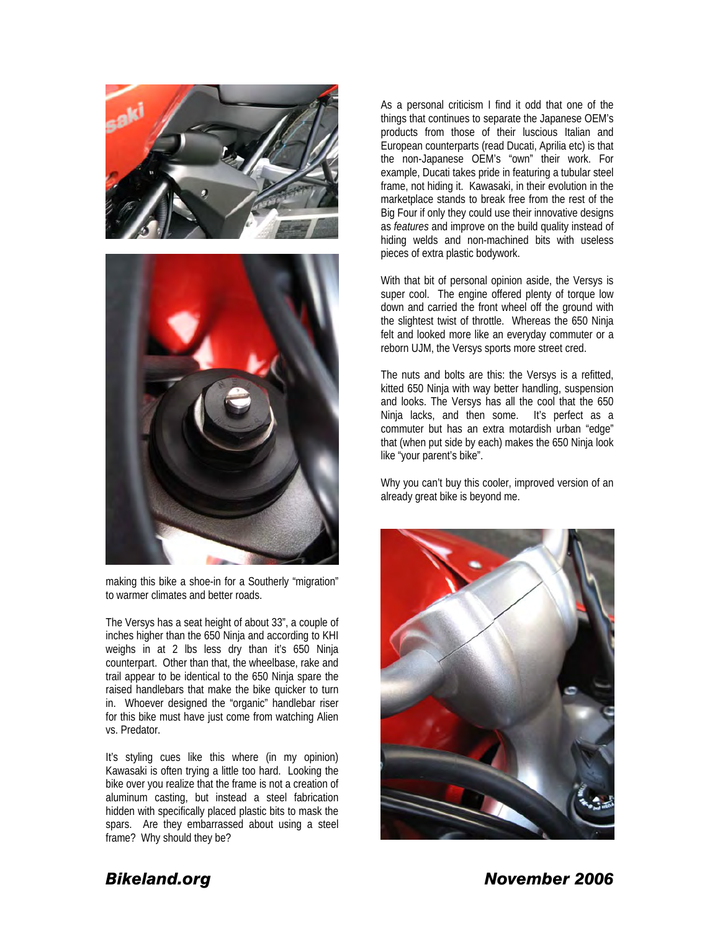

making this bike a shoe-in for a Southerly "migration" to warmer climates and better roads.

The Versys has a seat height of about 33", a couple of inches higher than the 650 Ninja and according to KHI weighs in at 2 lbs less dry than it's 650 Ninja counterpart. Other than that, the wheelbase, rake and trail appear to be identical to the 650 Ninja spare the raised handlebars that make the bike quicker to turn in. Whoever designed the "organic" handlebar riser for this bike must have just come from watching Alien vs. Predator.

It's styling cues like this where (in my opinion) Kawasaki is often trying a little too hard. Looking the bike over you realize that the frame is not a creation of aluminum casting, but instead a steel fabrication hidden with specifically placed plastic bits to mask the spars. Are they embarrassed about using a steel frame? Why should they be?

As a personal criticism I find it odd that one of the things that continues to separate the Japanese OEM's products from those of their luscious Italian and European counterparts (read Ducati, Aprilia etc) is that the non-Japanese OEM's "own" their work. For example, Ducati takes pride in featuring a tubular steel frame, not hiding it. Kawasaki, in their evolution in the marketplace stands to break free from the rest of the Big Four if only they could use their innovative designs as *features* and improve on the build quality instead of hiding welds and non-machined bits with useless pieces of extra plastic bodywork.

With that bit of personal opinion aside, the Versys is super cool. The engine offered plenty of torque low down and carried the front wheel off the ground with the slightest twist of throttle. Whereas the 650 Ninja felt and looked more like an everyday commuter or a reborn UJM, the Versys sports more street cred.

The nuts and bolts are this: the Versys is a refitted, kitted 650 Ninja with way better handling, suspension and looks. The Versys has all the cool that the 650 Ninja lacks, and then some. It's perfect as a commuter but has an extra motardish urban "edge" that (when put side by each) makes the 650 Ninja look like "your parent's bike".

Why you can't buy this cooler, improved version of an already great bike is beyond me.



*Bikeland.org November 2006*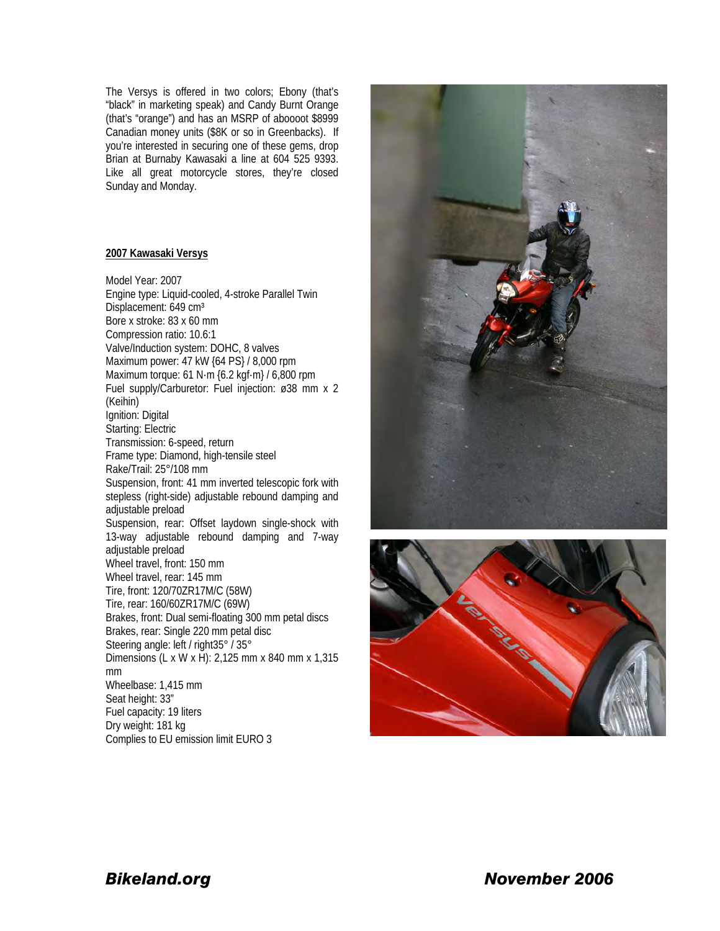The Versys is offered in two colors; Ebony (that's "black" in marketing speak) and Candy Burnt Orange (that's "orange") and has an MSRP of aboooot \$8999 Canadian money units (\$8K or so in Greenbacks). If you're interested in securing one of these gems, drop Brian at Burnaby Kawasaki a line at 604 525 9393. Like all great motorcycle stores, they're closed Sunday and Monday.

## **2007 Kawasaki Versys**

Model Year: 2007 Engine type: Liquid-cooled, 4-stroke Parallel Twin Displacement: 649 cm<sup>3</sup> Bore x stroke: 83 x 60 mm Compression ratio: 10.6:1 Valve/Induction system: DOHC, 8 valves Maximum power: 47 kW {64 PS} / 8,000 rpm Maximum torque: 61 N·m {6.2 kgf·m} / 6,800 rpm Fuel supply/Carburetor: Fuel injection: ø38 mm x 2 (Keihin) Ignition: Digital Starting: Electric Transmission: 6-speed, return Frame type: Diamond, high-tensile steel Rake/Trail: 25°/108 mm Suspension, front: 41 mm inverted telescopic fork with stepless (right-side) adjustable rebound damping and adjustable preload Suspension, rear: Offset laydown single-shock with 13-way adjustable rebound damping and 7-way adjustable preload Wheel travel, front: 150 mm Wheel travel, rear: 145 mm Tire, front: 120/70ZR17M/C (58W) Tire, rear: 160/60ZR17M/C (69W) Brakes, front: Dual semi-floating 300 mm petal discs Brakes, rear: Single 220 mm petal disc Steering angle: left / right35° / 35° Dimensions (L x W x H): 2,125 mm x 840 mm x 1,315 mm Wheelbase: 1,415 mm Seat height: 33" Fuel capacity: 19 liters Dry weight: 181 kg Complies to EU emission limit EURO 3





*Bikeland.org November 2006*